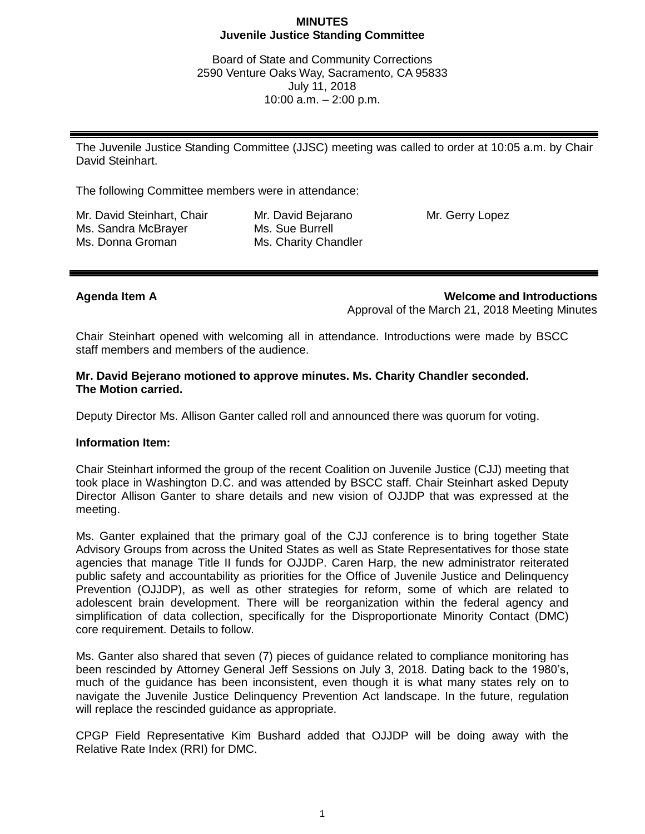### **MINUTES Juvenile Justice Standing Committee**

Board of State and Community Corrections 2590 Venture Oaks Way, Sacramento, CA 95833 July 11, 2018 10:00 a.m. – 2:00 p.m.

The Juvenile Justice Standing Committee (JJSC) meeting was called to order at 10:05 a.m. by Chair David Steinhart.

The following Committee members were in attendance:

Mr. David Steinhart, Chair Ms. Sandra McBrayer Ms. Donna Groman

Mr. David Bejarano Ms. Sue Burrell Ms. Charity Chandler Mr. Gerry Lopez

**Agenda Item A Welcome and Introductions** Approval of the March 21, 2018 Meeting Minutes

Chair Steinhart opened with welcoming all in attendance. Introductions were made by BSCC staff members and members of the audience.

## **Mr. David Bejerano motioned to approve minutes. Ms. Charity Chandler seconded. The Motion carried.**

Deputy Director Ms. Allison Ganter called roll and announced there was quorum for voting.

### **Information Item:**

Chair Steinhart informed the group of the recent Coalition on Juvenile Justice (CJJ) meeting that took place in Washington D.C. and was attended by BSCC staff. Chair Steinhart asked Deputy Director Allison Ganter to share details and new vision of OJJDP that was expressed at the meeting.

Ms. Ganter explained that the primary goal of the CJJ conference is to bring together State Advisory Groups from across the United States as well as State Representatives for those state agencies that manage Title II funds for OJJDP. Caren Harp, the new administrator reiterated public safety and accountability as priorities for the Office of Juvenile Justice and Delinquency Prevention (OJJDP), as well as other strategies for reform, some of which are related to adolescent brain development. There will be reorganization within the federal agency and simplification of data collection, specifically for the Disproportionate Minority Contact (DMC) core requirement. Details to follow.

Ms. Ganter also shared that seven (7) pieces of guidance related to compliance monitoring has been rescinded by Attorney General Jeff Sessions on July 3, 2018. Dating back to the 1980's, much of the guidance has been inconsistent, even though it is what many states rely on to navigate the Juvenile Justice Delinquency Prevention Act landscape. In the future, regulation will replace the rescinded guidance as appropriate.

CPGP Field Representative Kim Bushard added that OJJDP will be doing away with the Relative Rate Index (RRI) for DMC.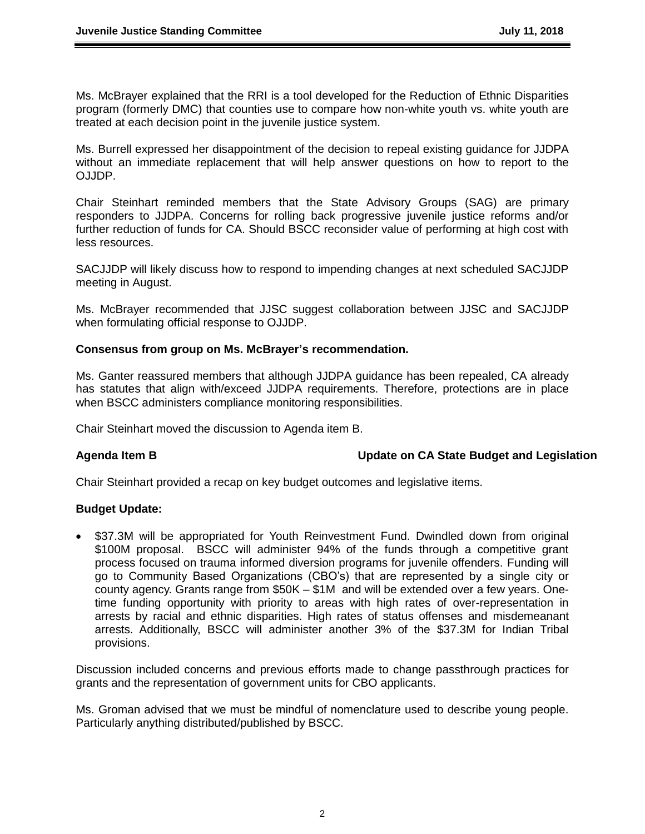Ms. McBrayer explained that the RRI is a tool developed for the Reduction of Ethnic Disparities program (formerly DMC) that counties use to compare how non-white youth vs. white youth are treated at each decision point in the juvenile justice system.

Ms. Burrell expressed her disappointment of the decision to repeal existing guidance for JJDPA without an immediate replacement that will help answer questions on how to report to the OJJDP.

Chair Steinhart reminded members that the State Advisory Groups (SAG) are primary responders to JJDPA. Concerns for rolling back progressive juvenile justice reforms and/or further reduction of funds for CA. Should BSCC reconsider value of performing at high cost with less resources.

SACJJDP will likely discuss how to respond to impending changes at next scheduled SACJJDP meeting in August.

Ms. McBrayer recommended that JJSC suggest collaboration between JJSC and SACJJDP when formulating official response to OJJDP.

### **Consensus from group on Ms. McBrayer's recommendation.**

Ms. Ganter reassured members that although JJDPA guidance has been repealed, CA already has statutes that align with/exceed JJDPA requirements. Therefore, protections are in place when BSCC administers compliance monitoring responsibilities.

Chair Steinhart moved the discussion to Agenda item B.

### **Agenda Item B Update on CA State Budget and Legislation**

Chair Steinhart provided a recap on key budget outcomes and legislative items.

## **Budget Update:**

• \$37.3M will be appropriated for Youth Reinvestment Fund. Dwindled down from original \$100M proposal. BSCC will administer 94% of the funds through a competitive grant process focused on trauma informed diversion programs for juvenile offenders. Funding will go to Community Based Organizations (CBO's) that are represented by a single city or county agency. Grants range from \$50K – \$1M and will be extended over a few years. Onetime funding opportunity with priority to areas with high rates of over-representation in arrests by racial and ethnic disparities. High rates of status offenses and misdemeanant arrests. Additionally, BSCC will administer another 3% of the \$37.3M for Indian Tribal provisions.

Discussion included concerns and previous efforts made to change passthrough practices for grants and the representation of government units for CBO applicants.

Ms. Groman advised that we must be mindful of nomenclature used to describe young people. Particularly anything distributed/published by BSCC.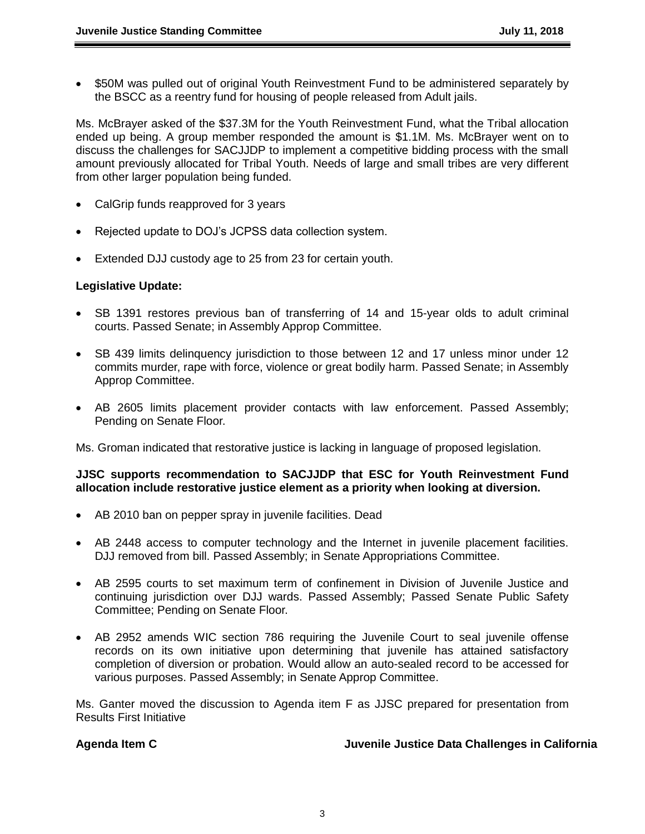• \$50M was pulled out of original Youth Reinvestment Fund to be administered separately by the BSCC as a reentry fund for housing of people released from Adult jails.

Ms. McBrayer asked of the \$37.3M for the Youth Reinvestment Fund, what the Tribal allocation ended up being. A group member responded the amount is \$1.1M. Ms. McBrayer went on to discuss the challenges for SACJJDP to implement a competitive bidding process with the small amount previously allocated for Tribal Youth. Needs of large and small tribes are very different from other larger population being funded.

- CalGrip funds reapproved for 3 years
- Rejected update to DOJ's JCPSS data collection system.
- Extended DJJ custody age to 25 from 23 for certain youth.

### **Legislative Update:**

- SB 1391 restores previous ban of transferring of 14 and 15-year olds to adult criminal courts. Passed Senate; in Assembly Approp Committee.
- SB 439 limits delinquency jurisdiction to those between 12 and 17 unless minor under 12 commits murder, rape with force, violence or great bodily harm. Passed Senate; in Assembly Approp Committee.
- AB 2605 limits placement provider contacts with law enforcement. Passed Assembly; Pending on Senate Floor.

Ms. Groman indicated that restorative justice is lacking in language of proposed legislation.

## **JJSC supports recommendation to SACJJDP that ESC for Youth Reinvestment Fund allocation include restorative justice element as a priority when looking at diversion.**

- AB 2010 ban on pepper spray in juvenile facilities. Dead
- AB 2448 access to computer technology and the Internet in juvenile placement facilities. DJJ removed from bill. Passed Assembly; in Senate Appropriations Committee.
- AB 2595 courts to set maximum term of confinement in Division of Juvenile Justice and continuing jurisdiction over DJJ wards. Passed Assembly; Passed Senate Public Safety Committee; Pending on Senate Floor.
- AB 2952 amends WIC section 786 requiring the Juvenile Court to seal juvenile offense records on its own initiative upon determining that juvenile has attained satisfactory completion of diversion or probation. Would allow an auto-sealed record to be accessed for various purposes. Passed Assembly; in Senate Approp Committee.

Ms. Ganter moved the discussion to Agenda item F as JJSC prepared for presentation from Results First Initiative

### **Agenda Item C Juvenile Justice Data Challenges in California**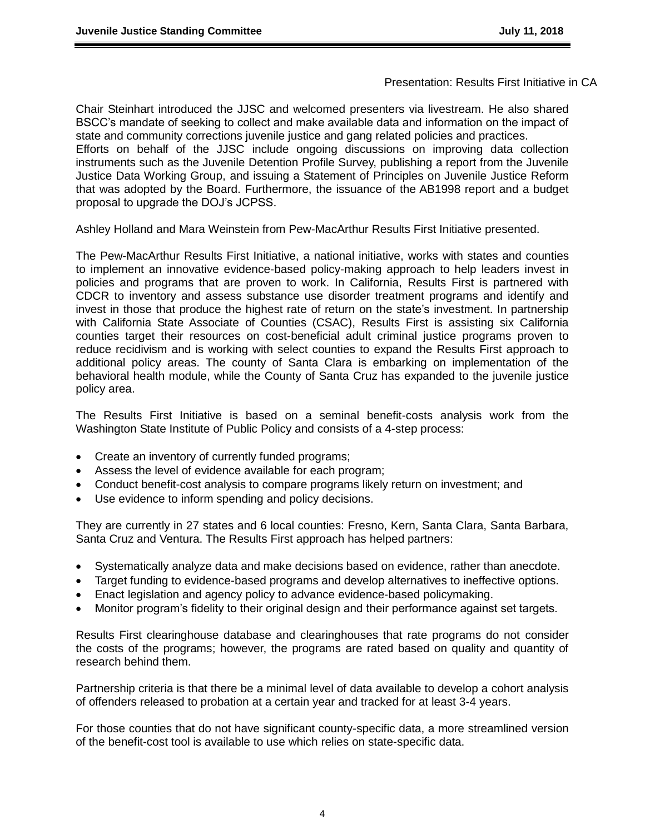### Presentation: Results First Initiative in CA

Chair Steinhart introduced the JJSC and welcomed presenters via livestream. He also shared BSCC's mandate of seeking to collect and make available data and information on the impact of state and community corrections juvenile justice and gang related policies and practices. Efforts on behalf of the JJSC include ongoing discussions on improving data collection instruments such as the Juvenile Detention Profile Survey, publishing a report from the Juvenile Justice Data Working Group, and issuing a Statement of Principles on Juvenile Justice Reform that was adopted by the Board. Furthermore, the issuance of the AB1998 report and a budget proposal to upgrade the DOJ's JCPSS.

Ashley Holland and Mara Weinstein from Pew-MacArthur Results First Initiative presented.

The Pew-MacArthur Results First Initiative, a national initiative, works with states and counties to implement an innovative evidence-based policy-making approach to help leaders invest in policies and programs that are proven to work. In California, Results First is partnered with CDCR to inventory and assess substance use disorder treatment programs and identify and invest in those that produce the highest rate of return on the state's investment. In partnership with California State Associate of Counties (CSAC), Results First is assisting six California counties target their resources on cost-beneficial adult criminal justice programs proven to reduce recidivism and is working with select counties to expand the Results First approach to additional policy areas. The county of Santa Clara is embarking on implementation of the behavioral health module, while the County of Santa Cruz has expanded to the juvenile justice policy area.

The Results First Initiative is based on a seminal benefit-costs analysis work from the Washington State Institute of Public Policy and consists of a 4-step process:

- Create an inventory of currently funded programs;
- Assess the level of evidence available for each program;
- Conduct benefit-cost analysis to compare programs likely return on investment; and
- Use evidence to inform spending and policy decisions.

They are currently in 27 states and 6 local counties: Fresno, Kern, Santa Clara, Santa Barbara, Santa Cruz and Ventura. The Results First approach has helped partners:

- Systematically analyze data and make decisions based on evidence, rather than anecdote.
- Target funding to evidence-based programs and develop alternatives to ineffective options.
- Enact legislation and agency policy to advance evidence-based policymaking.
- Monitor program's fidelity to their original design and their performance against set targets.

Results First clearinghouse database and clearinghouses that rate programs do not consider the costs of the programs; however, the programs are rated based on quality and quantity of research behind them.

Partnership criteria is that there be a minimal level of data available to develop a cohort analysis of offenders released to probation at a certain year and tracked for at least 3-4 years.

For those counties that do not have significant county-specific data, a more streamlined version of the benefit-cost tool is available to use which relies on state-specific data.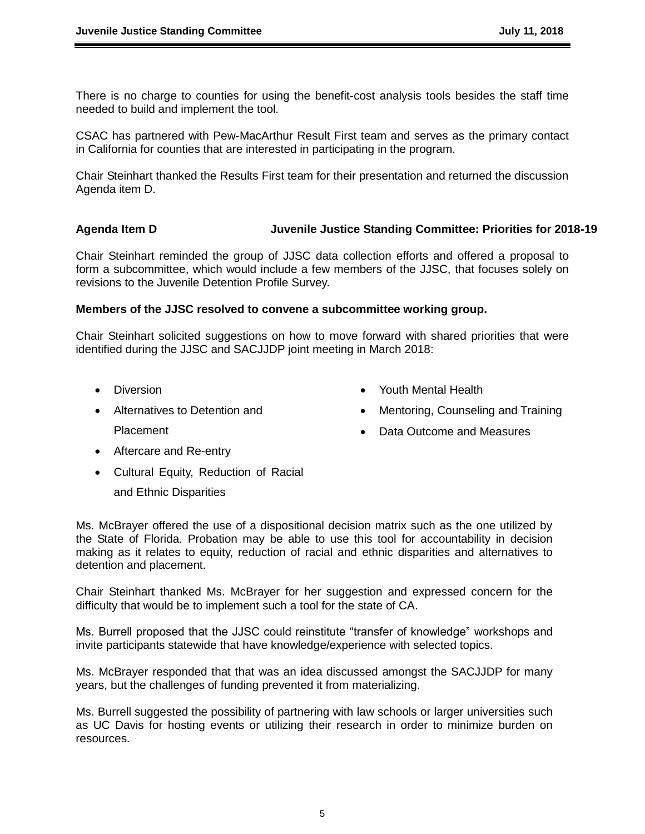There is no charge to counties for using the benefit-cost analysis tools besides the staff time needed to build and implement the tool.

CSAC has partnered with Pew-MacArthur Result First team and serves as the primary contact in California for counties that are interested in participating in the program.

Chair Steinhart thanked the Results First team for their presentation and returned the discussion Agenda item D.

# **Agenda Item D Juvenile Justice Standing Committee: Priorities for 2018-19**

Chair Steinhart reminded the group of JJSC data collection efforts and offered a proposal to form a subcommittee, which would include a few members of the JJSC, that focuses solely on revisions to the Juvenile Detention Profile Survey.

### **Members of the JJSC resolved to convene a subcommittee working group.**

Chair Steinhart solicited suggestions on how to move forward with shared priorities that were identified during the JJSC and SACJJDP joint meeting in March 2018:

- Diversion
- Alternatives to Detention and Placement
- Youth Mental Health
- Mentoring, Counseling and Training
- Data Outcome and Measures

- Aftercare and Re-entry
- Cultural Equity, Reduction of Racial

and Ethnic Disparities

Ms. McBrayer offered the use of a dispositional decision matrix such as the one utilized by the State of Florida. Probation may be able to use this tool for accountability in decision making as it relates to equity, reduction of racial and ethnic disparities and alternatives to detention and placement.

Chair Steinhart thanked Ms. McBrayer for her suggestion and expressed concern for the difficulty that would be to implement such a tool for the state of CA.

Ms. Burrell proposed that the JJSC could reinstitute "transfer of knowledge" workshops and invite participants statewide that have knowledge/experience with selected topics.

Ms. McBrayer responded that that was an idea discussed amongst the SACJJDP for many years, but the challenges of funding prevented it from materializing.

Ms. Burrell suggested the possibility of partnering with law schools or larger universities such as UC Davis for hosting events or utilizing their research in order to minimize burden on resources.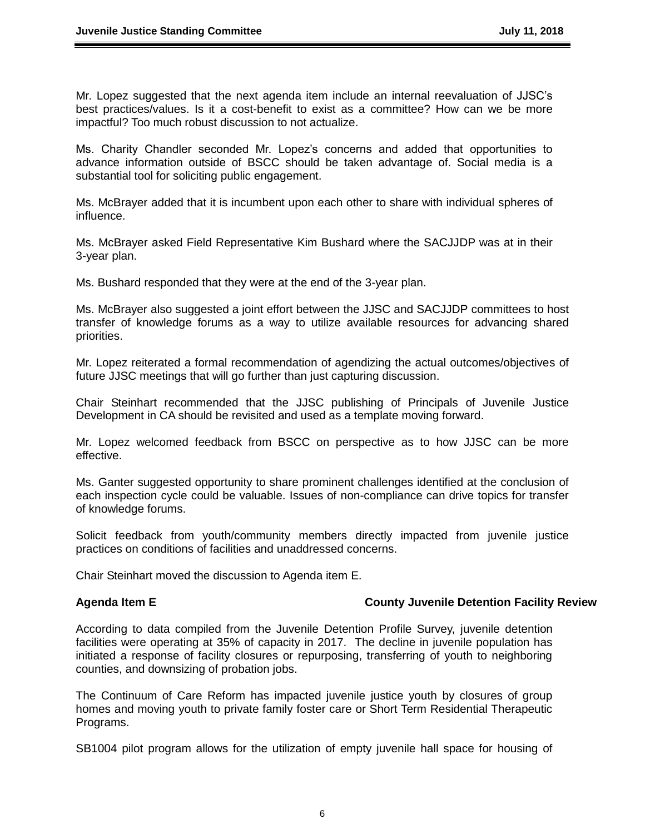Mr. Lopez suggested that the next agenda item include an internal reevaluation of JJSC's best practices/values. Is it a cost-benefit to exist as a committee? How can we be more impactful? Too much robust discussion to not actualize.

Ms. Charity Chandler seconded Mr. Lopez's concerns and added that opportunities to advance information outside of BSCC should be taken advantage of. Social media is a substantial tool for soliciting public engagement.

Ms. McBrayer added that it is incumbent upon each other to share with individual spheres of influence.

Ms. McBrayer asked Field Representative Kim Bushard where the SACJJDP was at in their 3-year plan.

Ms. Bushard responded that they were at the end of the 3-year plan.

Ms. McBrayer also suggested a joint effort between the JJSC and SACJJDP committees to host transfer of knowledge forums as a way to utilize available resources for advancing shared priorities.

Mr. Lopez reiterated a formal recommendation of agendizing the actual outcomes/objectives of future JJSC meetings that will go further than just capturing discussion.

Chair Steinhart recommended that the JJSC publishing of Principals of Juvenile Justice Development in CA should be revisited and used as a template moving forward.

Mr. Lopez welcomed feedback from BSCC on perspective as to how JJSC can be more effective.

Ms. Ganter suggested opportunity to share prominent challenges identified at the conclusion of each inspection cycle could be valuable. Issues of non-compliance can drive topics for transfer of knowledge forums.

Solicit feedback from youth/community members directly impacted from juvenile justice practices on conditions of facilities and unaddressed concerns.

Chair Steinhart moved the discussion to Agenda item E.

### Agenda Item E **County Juvenile Detention Facility Review**

According to data compiled from the Juvenile Detention Profile Survey, juvenile detention facilities were operating at 35% of capacity in 2017. The decline in juvenile population has initiated a response of facility closures or repurposing, transferring of youth to neighboring counties, and downsizing of probation jobs.

The Continuum of Care Reform has impacted juvenile justice youth by closures of group homes and moving youth to private family foster care or Short Term Residential Therapeutic Programs.

SB1004 pilot program allows for the utilization of empty juvenile hall space for housing of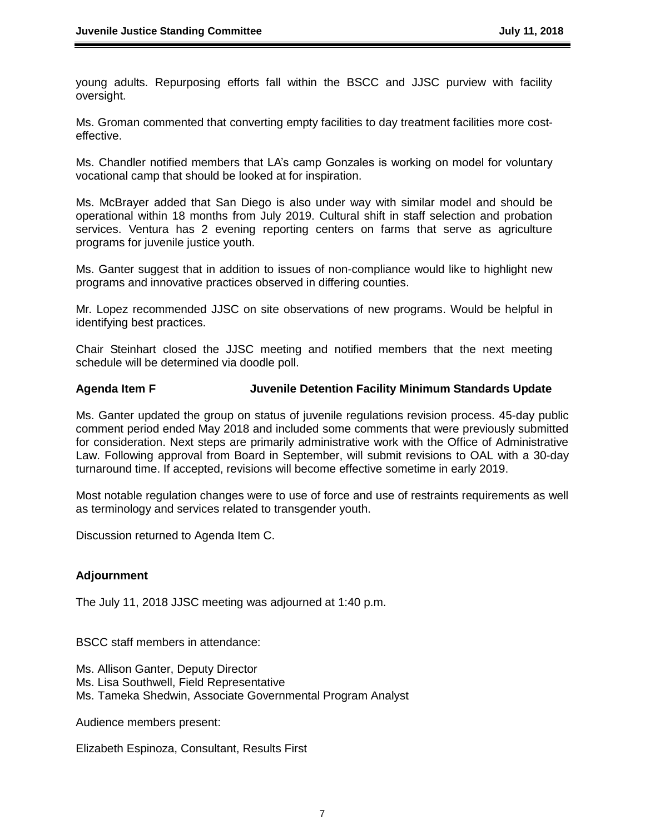young adults. Repurposing efforts fall within the BSCC and JJSC purview with facility oversight.

Ms. Groman commented that converting empty facilities to day treatment facilities more costeffective.

Ms. Chandler notified members that LA's camp Gonzales is working on model for voluntary vocational camp that should be looked at for inspiration.

Ms. McBrayer added that San Diego is also under way with similar model and should be operational within 18 months from July 2019. Cultural shift in staff selection and probation services. Ventura has 2 evening reporting centers on farms that serve as agriculture programs for juvenile justice youth.

Ms. Ganter suggest that in addition to issues of non-compliance would like to highlight new programs and innovative practices observed in differing counties.

Mr. Lopez recommended JJSC on site observations of new programs. Would be helpful in identifying best practices.

Chair Steinhart closed the JJSC meeting and notified members that the next meeting schedule will be determined via doodle poll.

# **Agenda Item F Juvenile Detention Facility Minimum Standards Update**

Ms. Ganter updated the group on status of juvenile regulations revision process. 45-day public comment period ended May 2018 and included some comments that were previously submitted for consideration. Next steps are primarily administrative work with the Office of Administrative Law. Following approval from Board in September, will submit revisions to OAL with a 30-day turnaround time. If accepted, revisions will become effective sometime in early 2019.

Most notable regulation changes were to use of force and use of restraints requirements as well as terminology and services related to transgender youth.

Discussion returned to Agenda Item C.

### **Adjournment**

The July 11, 2018 JJSC meeting was adjourned at 1:40 p.m.

BSCC staff members in attendance:

Ms. Allison Ganter, Deputy Director Ms. Lisa Southwell, Field Representative Ms. Tameka Shedwin, Associate Governmental Program Analyst

Audience members present:

Elizabeth Espinoza, Consultant, Results First